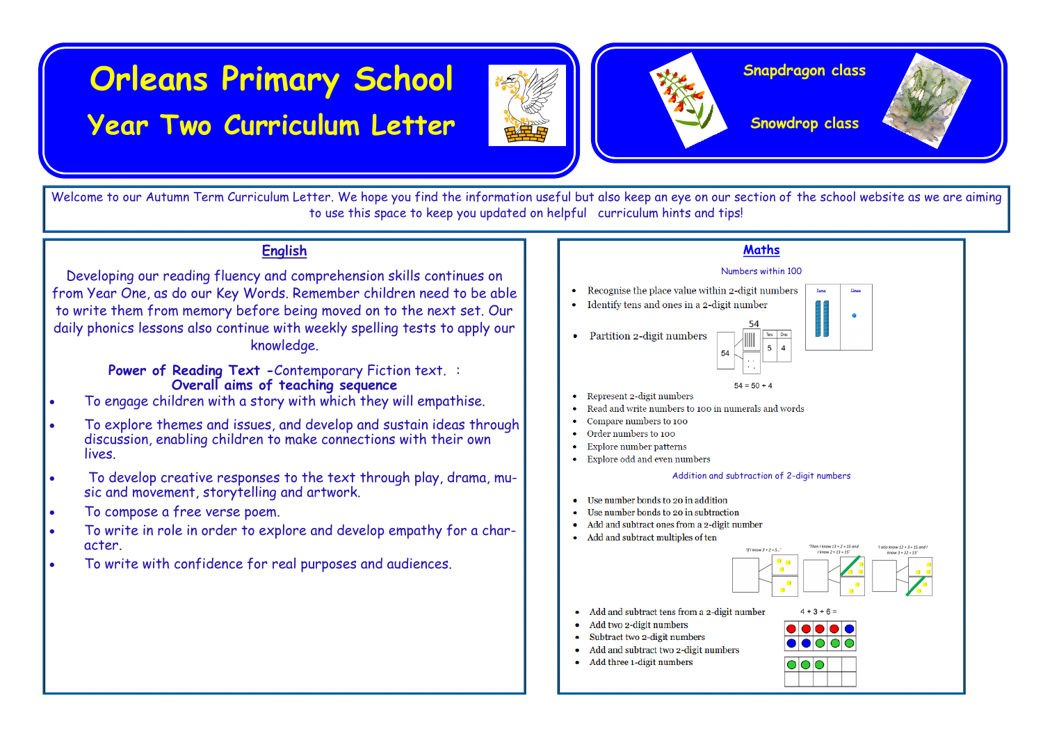# **Orleans Primary School**

# **Year Two Curriculum Letter**



#### **Snapdragon class**

**Snowdrop class**



Welcome to our Autumn Term Curriculum Letter. We hope you find the information useful but also keep an eye on our section of the school website as we are aiming to use this space to keep you updated on helpful curriculum hints and tips!

# **English**

Developing our reading fluency and comprehension skills continues on from Year One, as do our Key Words. Remember children need to be able to write them from memory before being moved on to the next set. Our daily phonics lessons also continue with weekly spelling tests to apply our knowledge.

> **Power of Reading Text -**Contemporary Fiction text. : **Overall aims of teaching sequence**

- To engage children with a story with which they will empathise.
- To explore themes and issues, and develop and sustain ideas through discussion, enabling children to make connections with their own lives.
- To develop creative responses to the text through play, drama, music and movement, storytelling and artwork.
- To compose a free verse poem.
- To write in role in order to explore and develop empathy for a character.
- To write with confidence for real purposes and audiences.

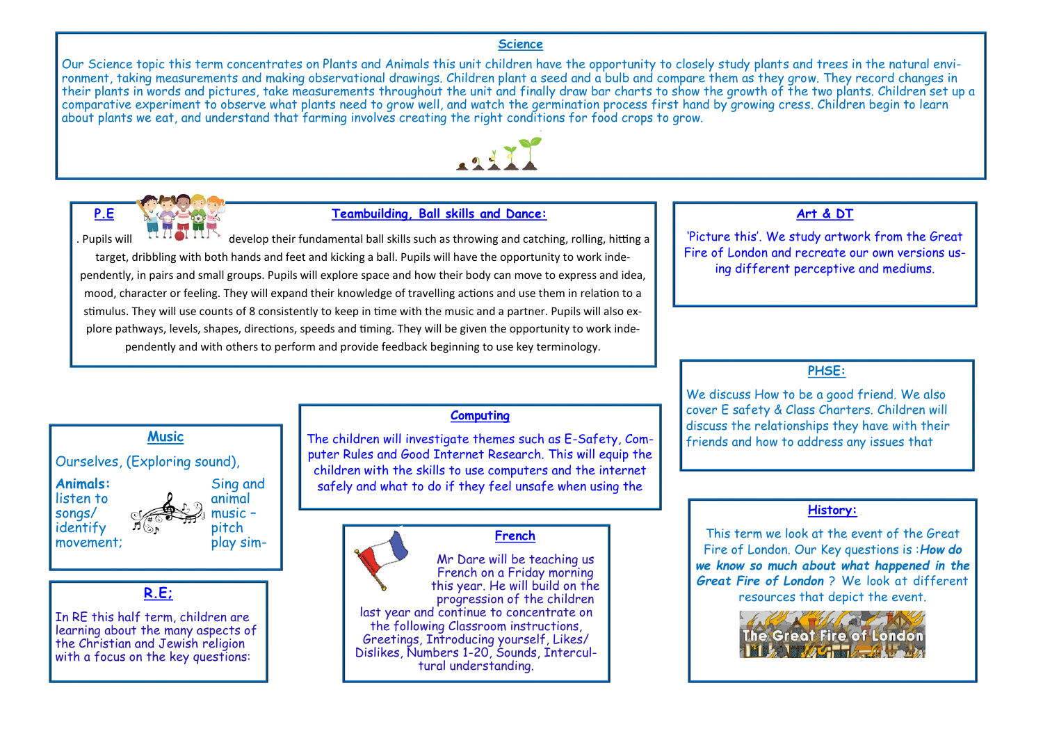#### **Science**

Our Science topic this term concentrates on Plants and Animals this unit children have the opportunity to closely study plants and trees in the natural environment, taking measurements and making observational drawings. Children plant a seed and a bulb and compare them as they grow. They record changes in their plants in words and pictures, take measurements throughout the unit and finally draw bar charts to show the growth of the two plants. Children set up a comparative experiment to observe what plants need to grow well, and watch the germination process first hand by growing cress. Children begin to learn about plants we eat, and understand that farming involves creating the right conditions for food crops to grow.





#### **P.E Teambuilding, Ball skills and Dance:**

. Pupils will develop their fundamental ball skills such as throwing and catching, rolling, hitting a target, dribbling with both hands and feet and kicking a ball. Pupils will have the opportunity to work independently, in pairs and small groups. Pupils will explore space and how their body can move to express and idea, mood, character or feeling. They will expand their knowledge of travelling actions and use them in relation to a stimulus. They will use counts of 8 consistently to keep in time with the music and a partner. Pupils will also explore pathways, levels, shapes, directions, speeds and timing. They will be given the opportunity to work independently and with others to perform and provide feedback beginning to use key terminology.

### **Art & DT**

'Picture this'. We study artwork from the Great Fire of London and recreate our own versions using different perceptive and mediums.

## **PHSE:**

We discuss How to be a good friend. We also cover E safety & Class Charters. Children will discuss the relationships they have with their<br>friends and how to address any issues that

#### **History:**

This term we look at the event of the Great Fire of London. Our Key questions is :*How do we know so much about what happened in the Great Fire of London* ? We look at different resources that depict the event.



Ourselves, (Exploring sound), Animals: Sing and listen to  $\rho$  animal  $\frac{\sinh(\theta)}{\cosh(\theta)}$  music –  $id$ entify  $\mathcal{P}(\mathcal{S}_n)$  pitch movement; play sim-

#### **R.E;**

In RE this half term, children are learning about the many aspects of the Christian and Jewish religion with a focus on the key questions:

#### **Computing**

Music **friends and how to address any issues that investigate themes such as E-Safety, Com- friends and how to address any issues that** puter Rules and Good Internet Research. This will equip the children with the skills to use computers and the internet safely and what to do if they feel unsafe when using the

#### **French**

Mr Dare will be teaching us French on a Friday morning this year. He will build on the progression of the children last year and continue to concentrate on the following Classroom instructions, Greetings, Introducing yourself, Likes/ Dislikes, Numbers 1-20, Sounds, Intercultural understanding.